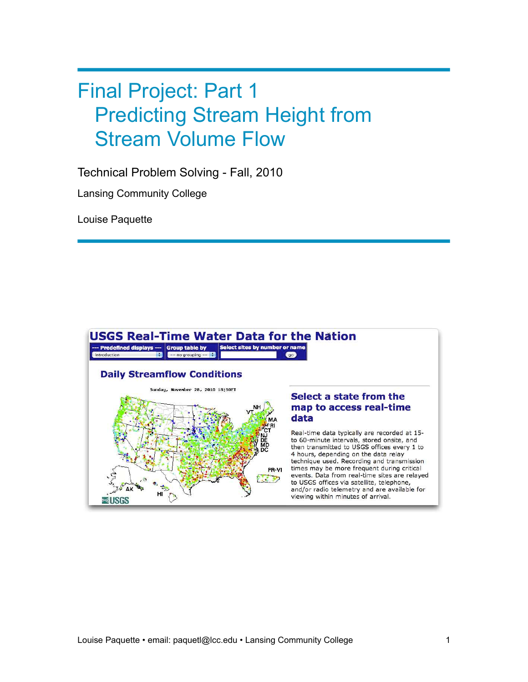# Final Project: Part 1 Predicting Stream Height from Stream Volume Flow

Technical Problem Solving - Fall, 2010

Lansing Community College

Louise Paquette

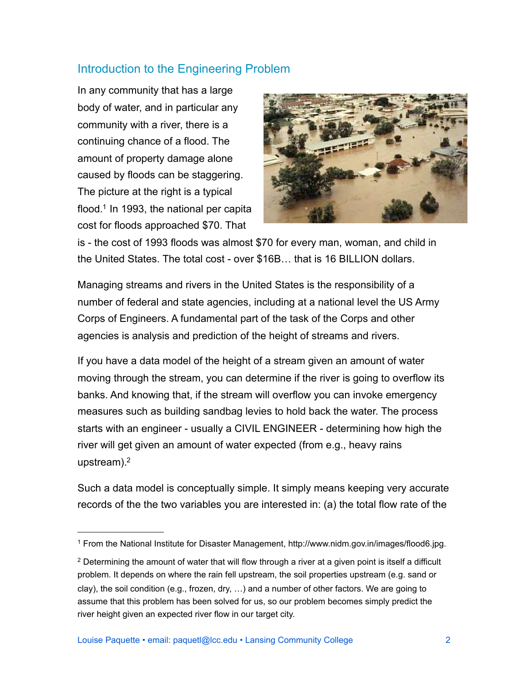# Introduction to the Engineering Problem

In any community that has a large body of water, and in particular any community with a river, there is a continuing chance of a flood. The amount of property damage alone caused by floods can be staggering. The picture at the right is a typical flood.<sup>1</sup> In 1993, the national per capita cost for floods approached \$70. That



is - the cost of 1993 floods was almost \$70 for every man, woman, and child in the United States. The total cost - over \$16B… that is 16 BILLION dollars.

Managing streams and rivers in the United States is the responsibility of a number of federal and state agencies, including at a national level the US Army Corps of Engineers. A fundamental part of the task of the Corps and other agencies is analysis and prediction of the height of streams and rivers.

If you have a data model of the height of a stream given an amount of water moving through the stream, you can determine if the river is going to overflow its banks. And knowing that, if the stream will overflow you can invoke emergency measures such as building sandbag levies to hold back the water. The process starts with an engineer - usually a CIVIL ENGINEER - determining how high the river will get given an amount of water expected (from e.g., heavy rains upstream).<sup>2</sup>

Such a data model is conceptually simple. It simply means keeping very accurate records of the the two variables you are interested in: (a) the total flow rate of the

<span id="page-1-0"></span><sup>1</sup> From the National Institute for Disaster Management, http://www.nidm.gov.in/images/flood6.jpg.

<span id="page-1-1"></span><sup>&</sup>lt;sup>2</sup> Determining the amount of water that will flow through a river at a given point is itself a difficult problem. It depends on where the rain fell upstream, the soil properties upstream (e.g. sand or clay), the soil condition (e.g., frozen, dry, …) and a number of other factors. We are going to assume that this problem has been solved for us, so our problem becomes simply predict the river height given an expected river flow in our target city.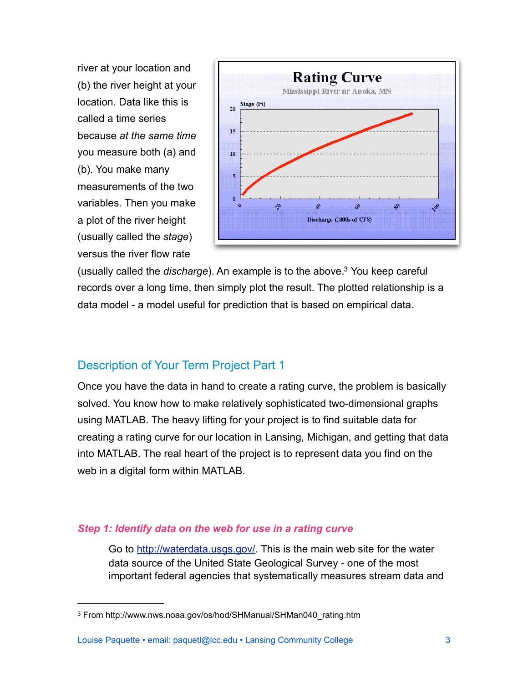river at your location and (b) the river height at your location. Data like this is called a time series because *at the same time* you measure both (a) and (b). You make many measurements of the two variables. Then you make a plot of the river height (usually called the *stage*) versus the river flow rate



(usually called the *discharge*). An example is to the above[.3](#page-2-0) You keep careful records over a long time, then simply plot the result. The plotted relationship is a data model - a model useful for prediction that is based on empirical data.

# Description of Your Term Project Part 1

Once you have the data in hand to create a rating curve, the problem is basically solved. You know how to make relatively sophisticated two-dimensional graphs using MATLAB. The heavy lifting for your project is to find suitable data for creating a rating curve for our location in Lansing, Michigan, and getting that data into MATLAB. The real heart of the project is to represent data you find on the web in a digital form within MATLAB.

# *Step 1: Identify data on the web for use in a rating curve*

Go to [http://waterdata.usgs.gov/](http://waterdata.usgs.gov). This is the main web site for the water data source of the United State Geological Survey - one of the most important federal agencies that systematically measures stream data and

<span id="page-2-0"></span><sup>&</sup>lt;sup>3</sup> From http://www.nws.noaa.gov/os/hod/SHManual/SHMan040\_rating.htm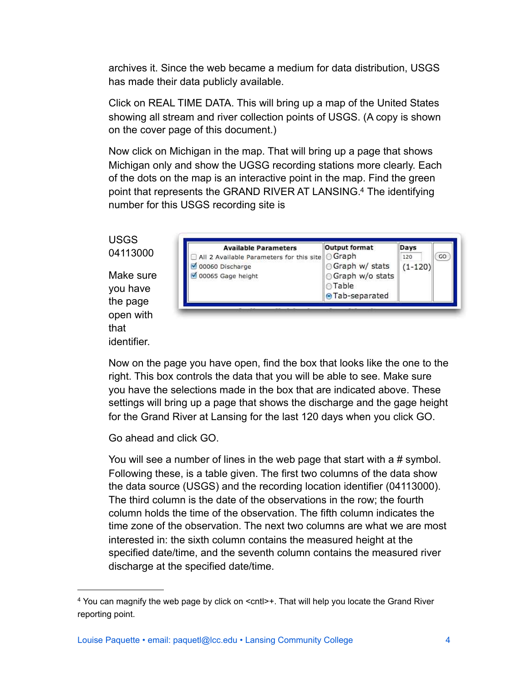archives it. Since the web became a medium for data distribution, USGS has made their data publicly available.

Click on REAL TIME DATA. This will bring up a map of the United States showing all stream and river collection points of USGS. (A copy is shown on the cover page of this document.)

Now click on Michigan in the map. That will bring up a page that shows Michigan only and show the UGSG recording stations more clearly. Each of the dots on the map is an interactive point in the map. Find the green point that represents the GRAND RIVER AT LANSING[.4](#page-3-0) The identifying number for this USGS recording site is



Now on the page you have open, find the box that looks like the one to the right. This box controls the data that you will be able to see. Make sure you have the selections made in the box that are indicated above. These settings will bring up a page that shows the discharge and the gage height for the Grand River at Lansing for the last 120 days when you click GO.

Go ahead and click GO.

identifier.

You will see a number of lines in the web page that start with a # symbol. Following these, is a table given. The first two columns of the data show the data source (USGS) and the recording location identifier (04113000). The third column is the date of the observations in the row; the fourth column holds the time of the observation. The fifth column indicates the time zone of the observation. The next two columns are what we are most interested in: the sixth column contains the measured height at the specified date/time, and the seventh column contains the measured river discharge at the specified date/time.

<span id="page-3-0"></span><sup>4</sup> You can magnify the web page by click on <cntl>+. That will help you locate the Grand River reporting point.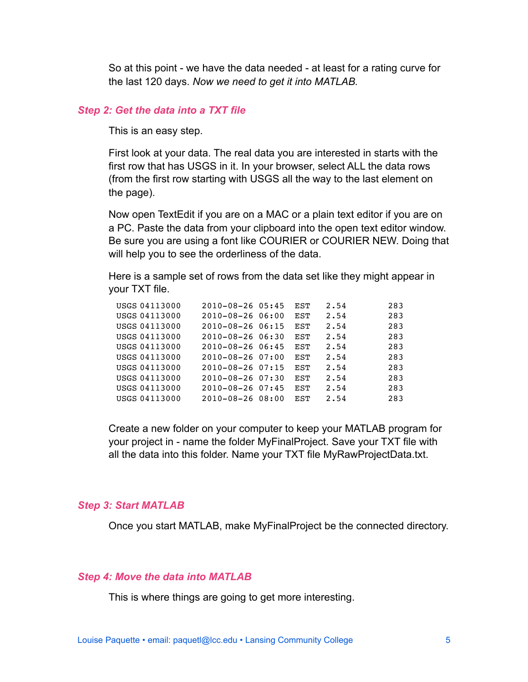So at this point - we have the data needed - at least for a rating curve for the last 120 days. *Now we need to get it into MATLAB.*

#### *Step 2: Get the data into a TXT file*

This is an easy step.

First look at your data. The real data you are interested in starts with the first row that has USGS in it. In your browser, select ALL the data rows (from the first row starting with USGS all the way to the last element on the page).

Now open TextEdit if you are on a MAC or a plain text editor if you are on a PC. Paste the data from your clipboard into the open text editor window. Be sure you are using a font like COURIER or COURIER NEW. Doing that will help you to see the orderliness of the data.

Here is a sample set of rows from the data set like they might appear in your TXT file.

| USGS 04113000 | $2010 - 08 - 26$ 05:45  | EST        | 2.54 | 283 |
|---------------|-------------------------|------------|------|-----|
| USGS 04113000 | 2010-08-26 06:00        | EST        | 2.54 | 283 |
| USGS 04113000 | $2010 - 08 - 2606:15$   | EST        | 2.54 | 283 |
| USGS 04113000 | $2010 - 08 - 260630$    | EST        | 2.54 | 283 |
| USGS 04113000 | $2010 - 08 - 2606 : 45$ | EST        | 2.54 | 283 |
| USGS 04113000 | $2010 - 08 - 260$       | <b>EST</b> | 2.54 | 283 |
| USGS 04113000 | $2010 - 08 - 26$ 07:15  | EST        | 2.54 | 283 |
| USGS 04113000 | $2010 - 08 - 26$ 07:30  | EST        | 2.54 | 283 |
| USGS 04113000 | $2010 - 08 - 26$ 07:45  | EST        | 2.54 | 283 |
| USGS 04113000 | $2010 - 08 - 2608:00$   | EST        | 2.54 | 283 |

Create a new folder on your computer to keep your MATLAB program for your project in - name the folder MyFinalProject. Save your TXT file with all the data into this folder. Name your TXT file MyRawProjectData.txt.

#### *Step 3: Start MATLAB*

Once you start MATLAB, make MyFinalProject be the connected directory.

#### *Step 4: Move the data into MATLAB*

This is where things are going to get more interesting.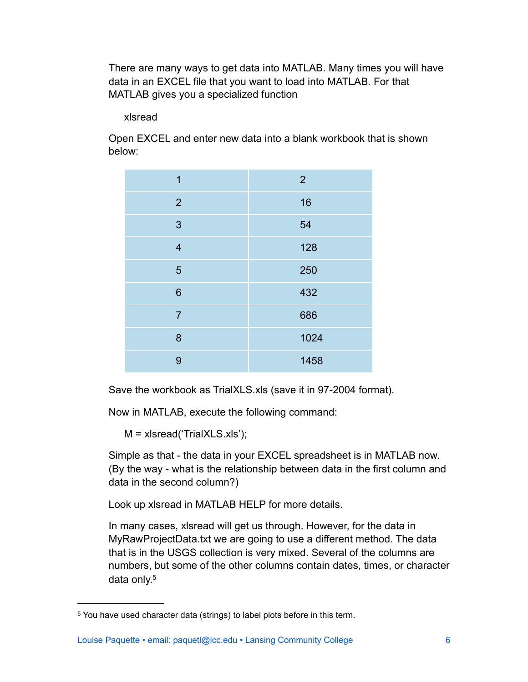There are many ways to get data into MATLAB. Many times you will have data in an EXCEL file that you want to load into MATLAB. For that MATLAB gives you a specialized function

xlsread

Open EXCEL and enter new data into a blank workbook that is shown below:

| 1              | $\overline{2}$ |
|----------------|----------------|
| $\overline{2}$ | 16             |
| 3              | 54             |
| $\overline{4}$ | 128            |
| 5              | 250            |
| $6\phantom{1}$ | 432            |
| $\overline{7}$ | 686            |
| 8              | 1024           |
| 9              | 1458           |

Save the workbook as TrialXLS.xls (save it in 97-2004 format).

Now in MATLAB, execute the following command:

M = xlsread('TrialXLS.xls');

Simple as that - the data in your EXCEL spreadsheet is in MATLAB now. (By the way - what is the relationship between data in the first column and data in the second column?)

Look up xlsread in MATLAB HELP for more details.

In many cases, xlsread will get us through. However, for the data in MyRawProjectData.txt we are going to use a different method. The data that is in the USGS collection is very mixed. Several of the columns are numbers, but some of the other columns contain dates, times, or character data only.<sup>5</sup>

<span id="page-5-0"></span><sup>5</sup> You have used character data (strings) to label plots before in this term.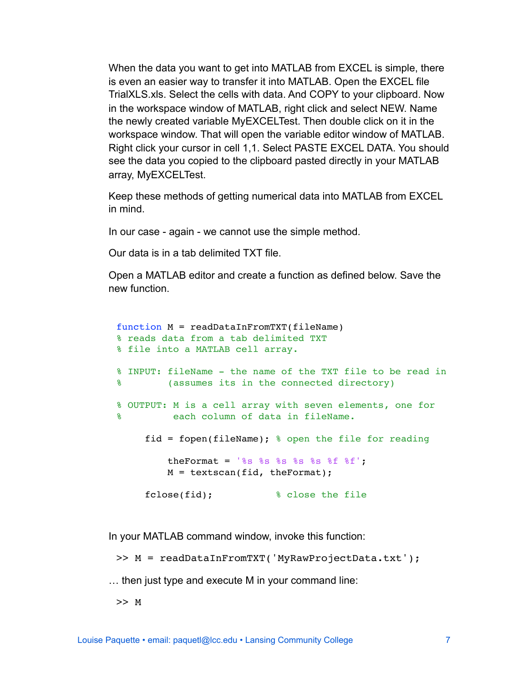When the data you want to get into MATLAB from EXCEL is simple, there is even an easier way to transfer it into MATLAB. Open the EXCEL file TrialXLS.xls. Select the cells with data. And COPY to your clipboard. Now in the workspace window of MATLAB, right click and select NEW. Name the newly created variable MyEXCELTest. Then double click on it in the workspace window. That will open the variable editor window of MATLAB. Right click your cursor in cell 1,1. Select PASTE EXCEL DATA. You should see the data you copied to the clipboard pasted directly in your MATLAB array, MyEXCELTest.

Keep these methods of getting numerical data into MATLAB from EXCEL in mind.

In our case - again - we cannot use the simple method.

Our data is in a tab delimited TXT file.

Open a MATLAB editor and create a function as defined below. Save the new function.

```
function M = readDataInFromTXT(fileName)
% reads data from a tab delimited TXT 
% file into a MATLAB cell array.
% INPUT: fileName - the name of the TXT file to be read in 
% (assumes its in the connected directory)
% OUTPUT: M is a cell array with seven elements, one for 
% each column of data in fileName. 
     fid = fopen(fileName); \frac{1}{2} open the file for reading
         theFormat = '%s %s %s %s %s %f %f';
         M = textscan(fid, theFormat);
     fclose(fid); \frac{1}{3} & close the file
```
In your MATLAB command window, invoke this function:

>> M = readDataInFromTXT('MyRawProjectData.txt');

… then just type and execute M in your command line:

>> M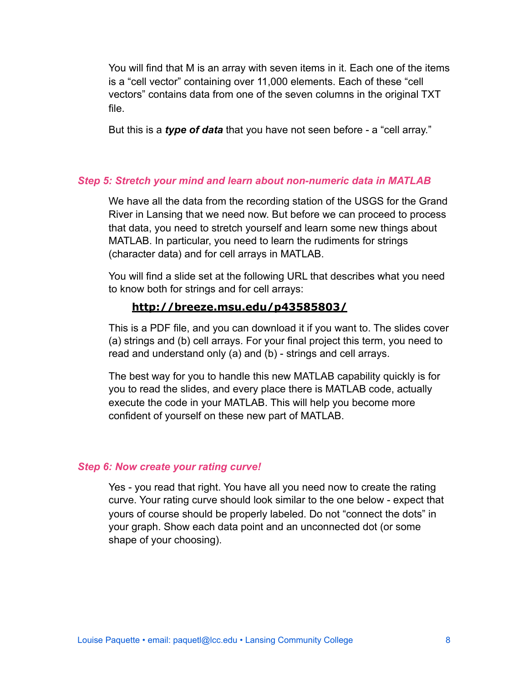You will find that M is an array with seven items in it. Each one of the items is a "cell vector" containing over 11,000 elements. Each of these "cell vectors" contains data from one of the seven columns in the original TXT file.

But this is a *type of data* that you have not seen before - a "cell array."

# *Step 5: Stretch your mind and learn about non-numeric data in MATLAB*

We have all the data from the recording station of the USGS for the Grand River in Lansing that we need now. But before we can proceed to process that data, you need to stretch yourself and learn some new things about MATLAB. In particular, you need to learn the rudiments for strings (character data) and for cell arrays in MATLAB.

You will find a slide set at the following URL that describes what you need to know both for strings and for cell arrays:

# **http://breeze.msu.edu/p43585803/**

This is a PDF file, and you can download it if you want to. The slides cover (a) strings and (b) cell arrays. For your final project this term, you need to read and understand only (a) and (b) - strings and cell arrays.

The best way for you to handle this new MATLAB capability quickly is for you to read the slides, and every place there is MATLAB code, actually execute the code in your MATLAB. This will help you become more confident of yourself on these new part of MATLAB.

## *Step 6: Now create your rating curve!*

Yes - you read that right. You have all you need now to create the rating curve. Your rating curve should look similar to the one below - expect that yours of course should be properly labeled. Do not "connect the dots" in your graph. Show each data point and an unconnected dot (or some shape of your choosing).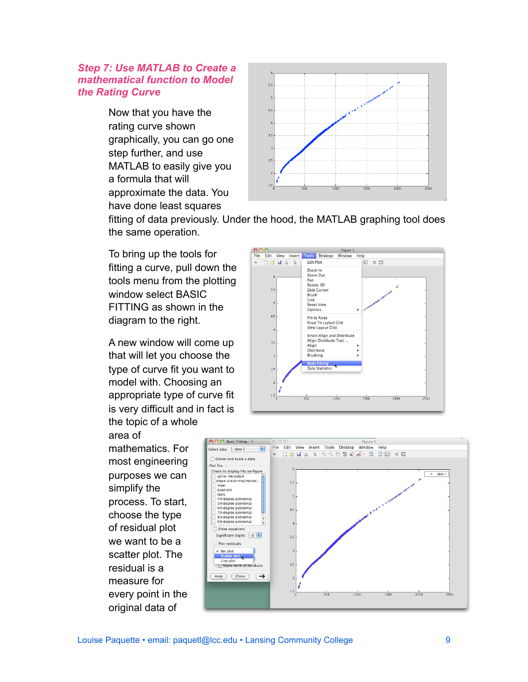## *Step 7: Use MATLAB to Create a mathematical function to Model the Rating Curve*

Now that you have the rating curve shown graphically, you can go one step further, and use MATLAB to easily give you a formula that will approximate the data. You have done least squares



fitting of data previously. Under the hood, the MATLAB graphing tool does the same operation.

To bring up the tools for fitting a curve, pull down the tools menu from the plotting window select BASIC FITTING as shown in the diagram to the right.

A new window will come up that will let you choose the type of curve fit you want to model with. Choosing an appropriate type of curve fit is very difficult and in fact is the topic of a whole

area of mathematics. For most engineering purposes we can simplify the process. To start, choose the type of residual plot we want to be a scatter plot. The residual is a measure for every point in the original data of



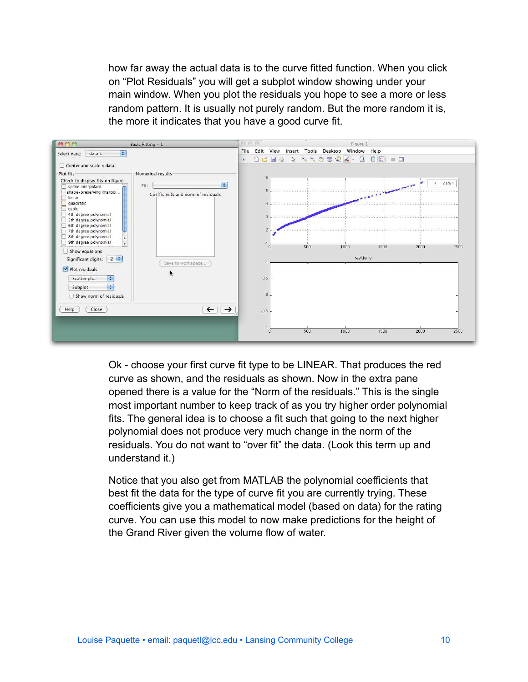how far away the actual data is to the curve fitted function. When you click on "Plot Residuals" you will get a subplot window showing under your main window. When you plot the residuals you hope to see a more or less random pattern. It is usually not purely random. But the more random it is, the more it indicates that you have a good curve fit.



Ok - choose your first curve fit type to be LINEAR. That produces the red curve as shown, and the residuals as shown. Now in the extra pane opened there is a value for the "Norm of the residuals." This is the single most important number to keep track of as you try higher order polynomial fits. The general idea is to choose a fit such that going to the next higher polynomial does not produce very much change in the norm of the residuals. You do not want to "over fit" the data. (Look this term up and understand it.)

Notice that you also get from MATLAB the polynomial coefficients that best fit the data for the type of curve fit you are currently trying. These coefficients give you a mathematical model (based on data) for the rating curve. You can use this model to now make predictions for the height of the Grand River given the volume flow of water.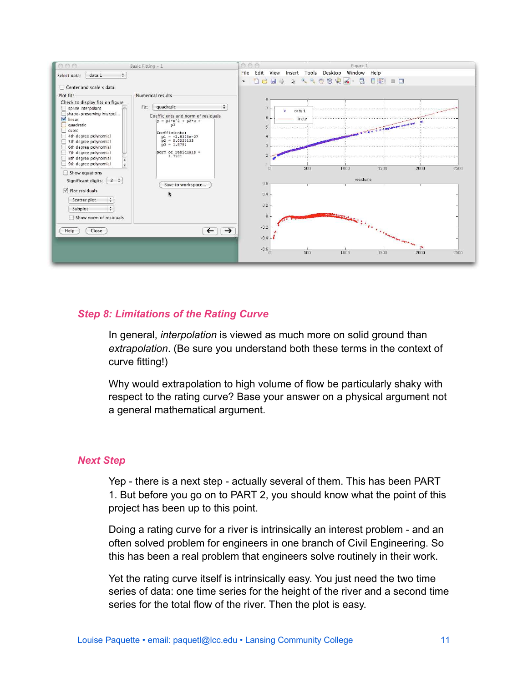

## *Step 8: Limitations of the Rating Curve*

In general, *interpolation* is viewed as much more on solid ground than *extrapolation*. (Be sure you understand both these terms in the context of curve fitting!)

Why would extrapolation to high volume of flow be particularly shaky with respect to the rating curve? Base your answer on a physical argument not a general mathematical argument.

## *Next Step*

Yep - there is a next step - actually several of them. This has been PART 1. But before you go on to PART 2, you should know what the point of this project has been up to this point.

Doing a rating curve for a river is intrinsically an interest problem - and an often solved problem for engineers in one branch of Civil Engineering. So this has been a real problem that engineers solve routinely in their work.

Yet the rating curve itself is intrinsically easy. You just need the two time series of data: one time series for the height of the river and a second time series for the total flow of the river. Then the plot is easy.